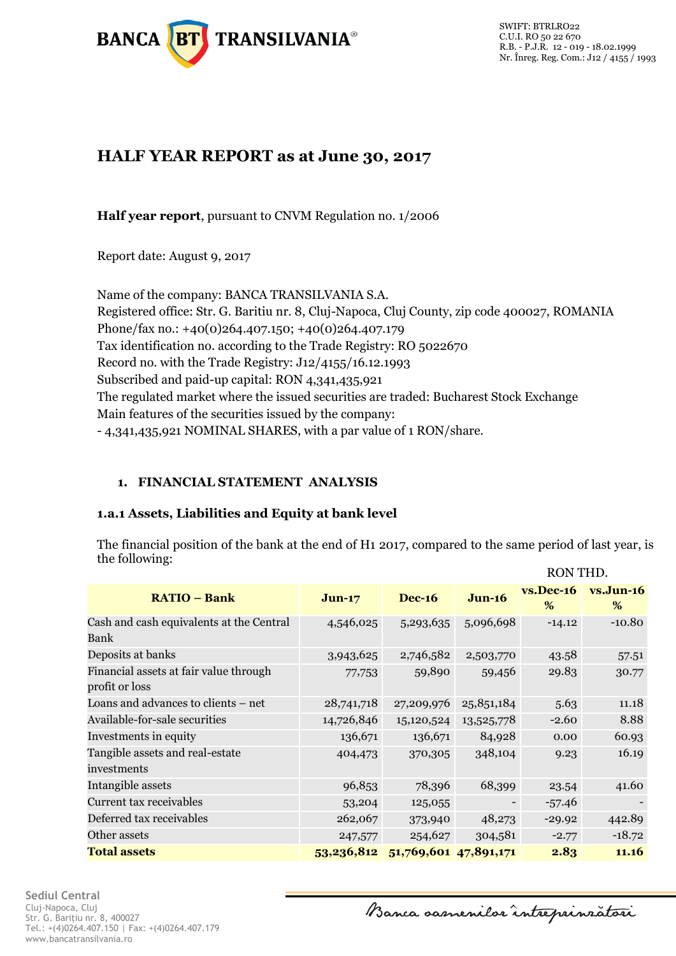

# **HALF YEAR REPORT as at June 30, 2017**

**Half year report**, pursuant to CNVM Regulation no. 1/2006

Report date: August 9, 2017

Name of the company: BANCA TRANSILVANIA S.A. Registered office: Str. G. Baritiu nr. 8, Cluj-Napoca, Cluj County, zip code 400027, ROMANIA Phone/fax no.: +40(0)264.407.150; +40(0)264.407.179 Tax identification no. according to the Trade Registry: RO 5022670 Record no. with the Trade Registry: J12/4155/16.12.1993 Subscribed and paid-up capital: RON 4,341,435,921 The regulated market where the issued securities are traded: Bucharest Stock Exchange Main features of the securities issued by the company: - 4,341,435,921 NOMINAL SHARES, with a par value of 1 RON/share.

# **1. FINANCIAL STATEMENT ANALYSIS**

### **1.a.1 Assets, Liabilities and Equity at bank level**

The financial position of the bank at the end of H1 2017, compared to the same period of last year, is the following: RON THD.

|                                                          |            |                       |            | IWAN THE          |                  |
|----------------------------------------------------------|------------|-----------------------|------------|-------------------|------------------|
| <b>RATIO - Bank</b>                                      | $Jun-17$   | <b>Dec-16</b>         | $J$ un-16  | $vs.$ Dec-16<br>% | $vs.Jun-16$<br>% |
| Cash and cash equivalents at the Central<br>Bank         | 4,546,025  | 5,293,635             | 5,096,698  | $-14.12$          | $-10.80$         |
| Deposits at banks                                        | 3,943,625  | 2,746,582             | 2,503,770  | 43.58             | 57.51            |
| Financial assets at fair value through<br>profit or loss | 77,753     | 59,890                | 59,456     | 29.83             | 30.77            |
| Loans and advances to clients - net                      | 28,741,718 | 27,209,976            | 25,851,184 | 5.63              | 11.18            |
| Available-for-sale securities                            | 14,726,846 | 15,120,524            | 13,525,778 | $-2.60$           | 8.88             |
| Investments in equity                                    | 136,671    | 136,671               | 84,928     | 0.00              | 60.93            |
| Tangible assets and real-estate<br>investments           | 404,473    | 370,305               | 348,104    | 9.23              | 16.19            |
| Intangible assets                                        | 96,853     | 78,396                | 68,399     | 23.54             | 41.60            |
| Current tax receivables                                  | 53,204     | 125,055               |            | $-57.46$          |                  |
| Deferred tax receivables                                 | 262,067    | 373,940               | 48,273     | $-29.92$          | 442.89           |
| Other assets                                             | 247,577    | 254,627               | 304,581    | $-2.77$           | $-18.72$         |
| <b>Total assets</b>                                      | 53,236,812 | 51,769,601 47,891,171 |            | 2.83              | 11.16            |

Banca oasnenilor intreprinzatori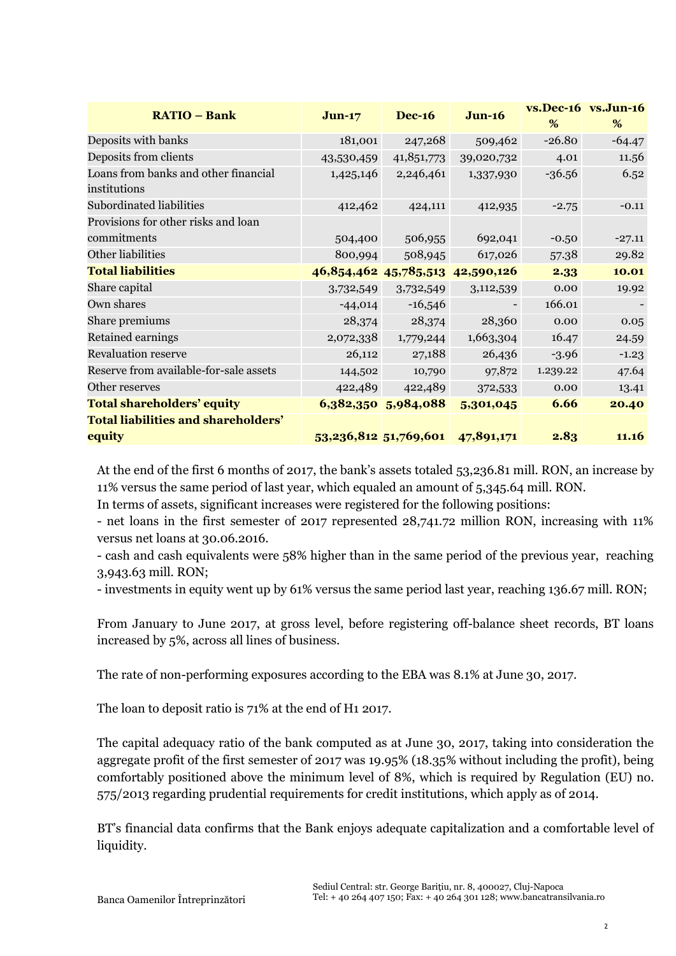| <b>RATIO - Bank</b>                        | $Jun-17$                         | <b>Dec-16</b>         | $Jun-16$       |          | vs.Dec-16 vs.Jun-16 |
|--------------------------------------------|----------------------------------|-----------------------|----------------|----------|---------------------|
|                                            |                                  |                       |                | %        | %                   |
| Deposits with banks                        | 181,001                          | 247,268               | 509,462        | $-26.80$ | $-64.47$            |
| Deposits from clients                      | 43,530,459                       | 41,851,773            | 39,020,732     | 4.01     | 11.56               |
| Loans from banks and other financial       | 1,425,146                        | 2,246,461             | 1,337,930      | $-36.56$ | 6.52                |
| institutions                               |                                  |                       |                |          |                     |
| Subordinated liabilities                   | 412,462                          | 424,111               | 412,935        | $-2.75$  | $-0.11$             |
| Provisions for other risks and loan        |                                  |                       |                |          |                     |
| commitments                                | 504,400                          | 506,955               | 692,041        | $-0.50$  | $-27.11$            |
| Other liabilities                          | 800,994                          | 508,945               | 617,026        | 57.38    | 29.82               |
| <b>Total liabilities</b>                   | 46,854,462 45,785,513 42,590,126 |                       |                | 2.33     | 10.01               |
| Share capital                              | 3,732,549                        | 3,732,549             | 3,112,539      | 0.00     | 19.92               |
| Own shares                                 | $-44,014$                        | $-16,546$             | $\blacksquare$ | 166.01   |                     |
| Share premiums                             | 28,374                           | 28,374                | 28,360         | 0.00     | 0.05                |
| Retained earnings                          | 2,072,338                        | 1,779,244             | 1,663,304      | 16.47    | 24.59               |
| <b>Revaluation reserve</b>                 | 26,112                           | 27,188                | 26,436         | $-3.96$  | $-1.23$             |
| Reserve from available-for-sale assets     | 144,502                          | 10,790                | 97,872         | 1.239.22 | 47.64               |
| Other reserves                             | 422,489                          | 422,489               | 372,533        | 0.00     | 13.41               |
| <b>Total shareholders' equity</b>          |                                  | 6,382,350 5,984,088   | 5,301,045      | 6.66     | 20.40               |
| <b>Total liabilities and shareholders'</b> |                                  |                       |                |          |                     |
| equity                                     |                                  | 53,236,812 51,769,601 | 47,891,171     | 2.83     | 11.16               |

At the end of the first 6 months of 2017, the bank's assets totaled 53,236.81 mill. RON, an increase by 11% versus the same period of last year, which equaled an amount of 5,345.64 mill. RON.

In terms of assets, significant increases were registered for the following positions:

- net loans in the first semester of 2017 represented 28,741.72 million RON, increasing with 11% versus net loans at 30.06.2016.

- cash and cash equivalents were 58% higher than in the same period of the previous year, reaching 3,943.63 mill. RON;

- investments in equity went up by 61% versus the same period last year, reaching 136.67 mill. RON;

From January to June 2017, at gross level, before registering off-balance sheet records, BT loans increased by 5%, across all lines of business.

The rate of non-performing exposures according to the EBA was 8.1% at June 30, 2017.

The loan to deposit ratio is 71% at the end of H1 2017.

The capital adequacy ratio of the bank computed as at June 30, 2017, taking into consideration the aggregate profit of the first semester of 2017 was 19.95% (18.35% without including the profit), being comfortably positioned above the minimum level of 8%, which is required by Regulation (EU) no. 575/2013 regarding prudential requirements for credit institutions, which apply as of 2014.

BT's financial data confirms that the Bank enjoys adequate capitalization and a comfortable level of liquidity.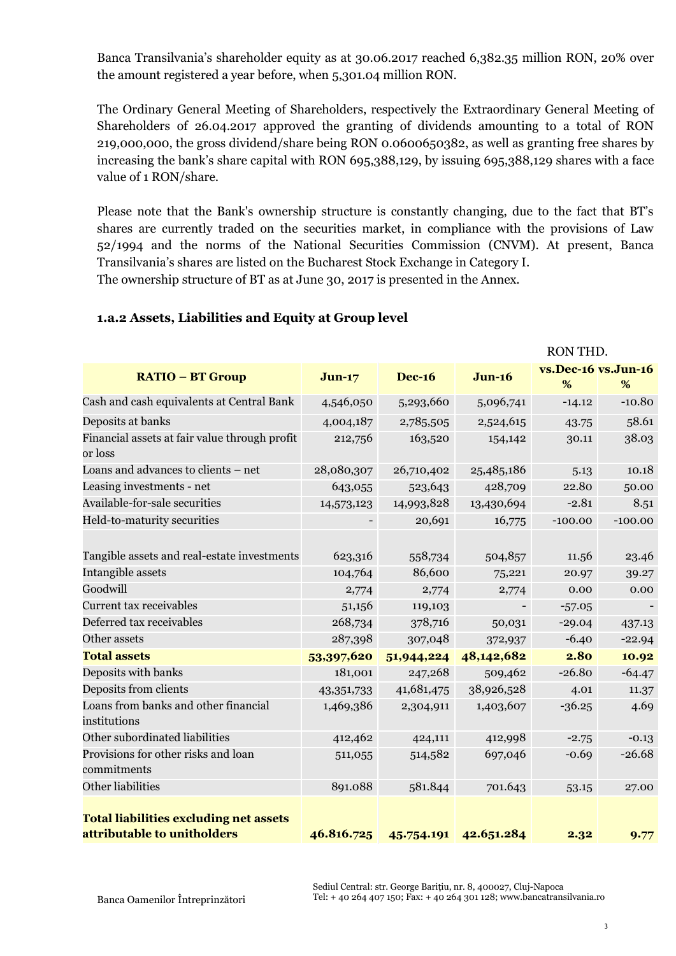Banca Transilvania's shareholder equity as at 30.06.2017 reached 6,382.35 million RON, 20% over the amount registered a year before, when 5,301.04 million RON.

The Ordinary General Meeting of Shareholders, respectively the Extraordinary General Meeting of Shareholders of 26.04.2017 approved the granting of dividends amounting to a total of RON 219,000,000, the gross dividend/share being RON 0.0600650382, as well as granting free shares by increasing the bank's share capital with RON 695,388,129, by issuing 695,388,129 shares with a face value of 1 RON/share.

Please note that the Bank's ownership structure is constantly changing, due to the fact that BT's shares are currently traded on the securities market, in compliance with the provisions of Law 52/1994 and the norms of the National Securities Commission (CNVM). At present, Banca Transilvania's shares are listed on the Bucharest Stock Exchange in Category I. The ownership structure of BT as at June 30, 2017 is presented in the Annex.

|                                                                              |            |               |                          | IVOIA TIID'         |           |
|------------------------------------------------------------------------------|------------|---------------|--------------------------|---------------------|-----------|
| <b>RATIO - BT Group</b>                                                      | $Jun-17$   | <b>Dec-16</b> | <b>Jun-16</b>            | vs.Dec-16 vs.Jun-16 |           |
|                                                                              |            |               |                          | %                   | %         |
| Cash and cash equivalents at Central Bank                                    | 4,546,050  | 5,293,660     | 5,096,741                | $-14.12$            | $-10.80$  |
| Deposits at banks                                                            | 4,004,187  | 2,785,505     | 2,524,615                | 43.75               | 58.61     |
| Financial assets at fair value through profit<br>or loss                     | 212,756    | 163,520       | 154,142                  | 30.11               | 38.03     |
| Loans and advances to clients - net                                          | 28,080,307 | 26,710,402    | 25,485,186               | 5.13                | 10.18     |
| Leasing investments - net                                                    | 643,055    | 523,643       | 428,709                  | 22.80               | 50.00     |
| Available-for-sale securities                                                | 14,573,123 | 14,993,828    | 13,430,694               | $-2.81$             | 8.51      |
| Held-to-maturity securities                                                  |            | 20,691        | 16,775                   | $-100.00$           | $-100.00$ |
| Tangible assets and real-estate investments                                  | 623,316    | 558,734       | 504,857                  | 11.56               | 23.46     |
| Intangible assets                                                            | 104,764    | 86,600        | 75,221                   | 20.97               | 39.27     |
| Goodwill                                                                     | 2,774      | 2,774         | 2,774                    | 0.00                | 0.00      |
| Current tax receivables                                                      | 51,156     | 119,103       | $\overline{\phantom{0}}$ | $-57.05$            |           |
| Deferred tax receivables                                                     | 268,734    | 378,716       | 50,031                   | $-29.04$            | 437.13    |
| Other assets                                                                 | 287,398    | 307,048       | 372,937                  | $-6.40$             | $-22.94$  |
| <b>Total assets</b>                                                          | 53,397,620 | 51,944,224    | 48,142,682               | 2.80                | 10.92     |
| Deposits with banks                                                          | 181,001    | 247,268       | 509,462                  | $-26.80$            | $-64.47$  |
| Deposits from clients                                                        | 43,351,733 | 41,681,475    | 38,926,528               | 4.01                | 11.37     |
| Loans from banks and other financial<br>institutions                         | 1,469,386  | 2,304,911     | 1,403,607                | $-36.25$            | 4.69      |
| Other subordinated liabilities                                               | 412,462    | 424,111       | 412,998                  | $-2.75$             | $-0.13$   |
| Provisions for other risks and loan<br>commitments                           | 511,055    | 514,582       | 697,046                  | $-0.69$             | $-26.68$  |
| Other liabilities                                                            | 891.088    | 581.844       | 701.643                  | 53.15               | 27.00     |
| <b>Total liabilities excluding net assets</b><br>attributable to unitholders | 46.816.725 |               | 45.754.191 42.651.284    | 2.32                | 9.77      |

### **1.a.2 Assets, Liabilities and Equity at Group level**

 $DON$  THD.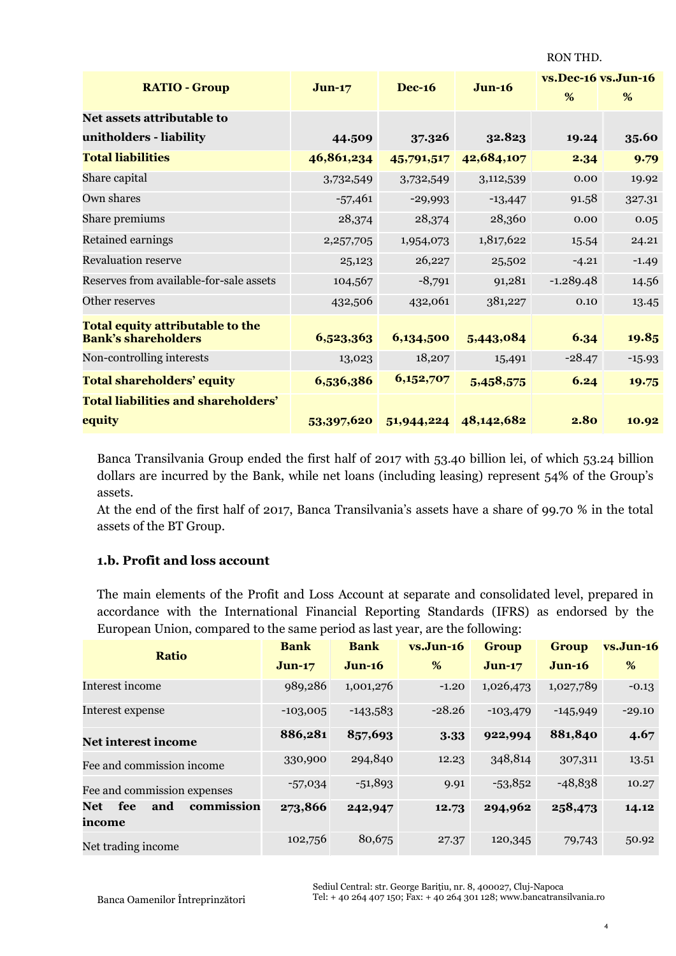RON THD.

|                                                                |            | <b>Dec-16</b> | $J$ un-16  | vs.Dec-16 vs.Jun-16 |          |
|----------------------------------------------------------------|------------|---------------|------------|---------------------|----------|
| <b>RATIO - Group</b>                                           | $Jun-17$   |               |            | %                   | %        |
| Net assets attributable to                                     |            |               |            |                     |          |
| unitholders - liability                                        | 44.509     | 37.326        | 32.823     | 19.24               | 35.60    |
| <b>Total liabilities</b>                                       | 46,861,234 | 45,791,517    | 42,684,107 | 2.34                | 9.79     |
| Share capital                                                  | 3,732,549  | 3,732,549     | 3,112,539  | 0.00                | 19.92    |
| Own shares                                                     | $-57,461$  | $-29,993$     | $-13,447$  | 91.58               | 327.31   |
| Share premiums                                                 | 28,374     | 28,374        | 28,360     | 0.00                | 0.05     |
| Retained earnings                                              | 2,257,705  | 1,954,073     | 1,817,622  | 15.54               | 24.21    |
| <b>Revaluation reserve</b>                                     | 25,123     | 26,227        | 25,502     | $-4.21$             | $-1.49$  |
| Reserves from available-for-sale assets                        | 104,567    | $-8,791$      | 91,281     | $-1.289.48$         | 14.56    |
| Other reserves                                                 | 432,506    | 432,061       | 381,227    | 0.10                | 13.45    |
| Total equity attributable to the<br><b>Bank's shareholders</b> | 6,523,363  | 6,134,500     | 5,443,084  | 6.34                | 19.85    |
| Non-controlling interests                                      | 13,023     | 18,207        | 15,491     | $-28.47$            | $-15.93$ |
| <b>Total shareholders' equity</b>                              | 6,536,386  | 6,152,707     | 5,458,575  | 6.24                | 19.75    |
| <b>Total liabilities and shareholders'</b>                     |            |               |            |                     |          |
| equity                                                         | 53,397,620 | 51,944,224    | 48,142,682 | 2.80                | 10.92    |

Banca Transilvania Group ended the first half of 2017 with 53.40 billion lei, of which 53.24 billion dollars are incurred by the Bank, while net loans (including leasing) represent 54% of the Group's assets.

At the end of the first half of 2017, Banca Transilvania's assets have a share of 99.70 % in the total assets of the BT Group.

#### **1.b. Profit and loss account**

The main elements of the Profit and Loss Account at separate and consolidated level, prepared in accordance with the International Financial Reporting Standards (IFRS) as endorsed by the European Union, compared to the same period as last year, are the following:

| <b>Ratio</b>                              | <b>Bank</b> | <b>Bank</b> | $vs.Jun-16$ | <b>Group</b> | <b>Group</b> | $vs.Jun-16$ |
|-------------------------------------------|-------------|-------------|-------------|--------------|--------------|-------------|
|                                           | $Jun-17$    | $Jun-16$    | %           | $Jun-17$     | $Jun-16$     | %           |
| Interest income                           | 989,286     | 1,001,276   | $-1.20$     | 1,026,473    | 1,027,789    | $-0.13$     |
| Interest expense                          | $-103,005$  | $-143,583$  | $-28.26$    | $-103,479$   | $-145,949$   | $-29.10$    |
| Net interest income                       | 886,281     | 857,693     | 3.33        | 922,994      | 881,840      | 4.67        |
| Fee and commission income                 | 330,900     | 294,840     | 12.23       | 348,814      | 307,311      | 13.51       |
| Fee and commission expenses               | $-57,034$   | $-51,893$   | 9.91        | $-53,852$    | $-48,838$    | 10.27       |
| commission<br>fee<br>and<br>Net<br>income | 273,866     | 242,947     | 12.73       | 294,962      | 258,473      | 14.12       |
| Net trading income                        | 102,756     | 80,675      | 27.37       | 120,345      | 79,743       | 50.92       |

Sediul Central: str. George Barițiu, nr. 8, 400027, Cluj-Napoca

4 Tel: + 40 264 407 150; Fax: + 40 264 301 128; www.bancatransilvania.ro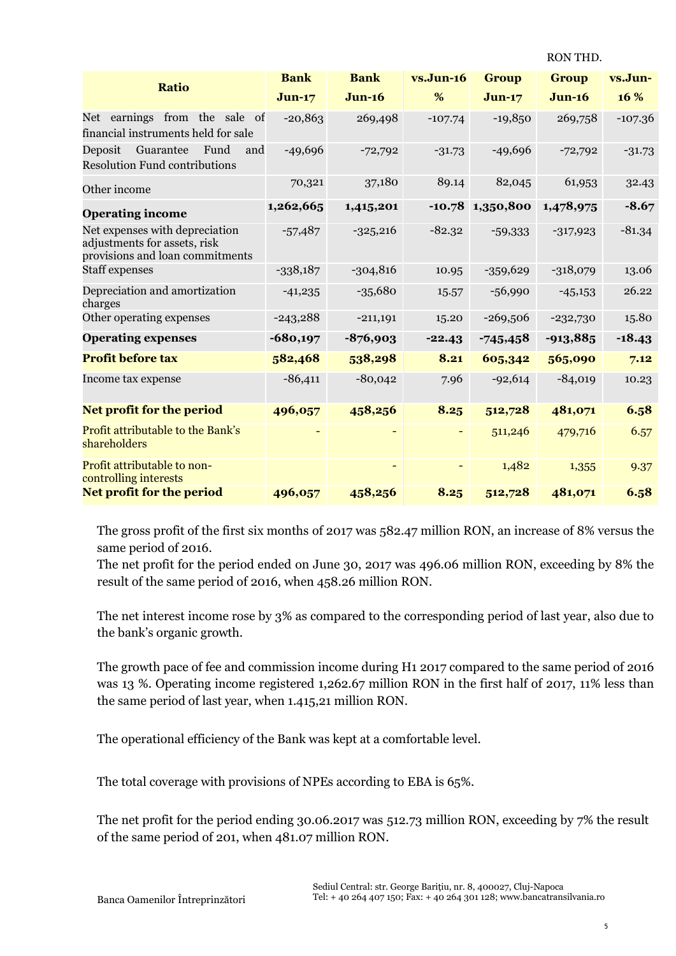| <b>Ratio</b>                                                                                      | <b>Bank</b> | <b>Bank</b> | $vs.Jun-16$ | <b>Group</b> | <b>Group</b> | vs.Jun-   |
|---------------------------------------------------------------------------------------------------|-------------|-------------|-------------|--------------|--------------|-----------|
|                                                                                                   | $Jun-17$    | $Jun-16$    | %           | $Jun-17$     | $Jun-16$     | 16 %      |
| earnings from the sale of<br>Net<br>financial instruments held for sale                           | $-20,863$   | 269,498     | $-107.74$   | $-19,850$    | 269,758      | $-107.36$ |
| Guarantee<br>Fund<br>Deposit<br>and<br><b>Resolution Fund contributions</b>                       | $-49,696$   | $-72,792$   | $-31.73$    | $-49,696$    | $-72,792$    | $-31.73$  |
| Other income                                                                                      | 70,321      | 37,180      | 89.14       | 82,045       | 61,953       | 32.43     |
| <b>Operating income</b>                                                                           | 1,262,665   | 1,415,201   | $-10.78$    | 1,350,800    | 1,478,975    | $-8.67$   |
| Net expenses with depreciation<br>adjustments for assets, risk<br>provisions and loan commitments | $-57,487$   | $-325,216$  | $-82.32$    | $-59,333$    | $-317,923$   | $-81.34$  |
| <b>Staff</b> expenses                                                                             | $-338,187$  | $-304,816$  | 10.95       | $-359,629$   | $-318,079$   | 13.06     |
| Depreciation and amortization<br>charges                                                          | $-41,235$   | $-35,680$   | 15.57       | $-56,990$    | $-45,153$    | 26.22     |
| Other operating expenses                                                                          | $-243,288$  | $-211,191$  | 15.20       | $-269,506$   | $-232,730$   | 15.80     |
| <b>Operating expenses</b>                                                                         | $-680,197$  | $-876,903$  | $-22.43$    | $-745,458$   | $-913,885$   | $-18.43$  |
| <b>Profit before tax</b>                                                                          | 582,468     | 538,298     | 8.21        | 605,342      | 565,090      | 7.12      |
| Income tax expense                                                                                | $-86,411$   | $-80,042$   | 7.96        | $-92,614$    | $-84,019$    | 10.23     |
| Net profit for the period                                                                         | 496,057     | 458,256     | 8.25        | 512,728      | 481,071      | 6.58      |
| Profit attributable to the Bank's<br>shareholders                                                 |             |             |             | 511,246      | 479,716      | 6.57      |
| Profit attributable to non-<br>controlling interests                                              |             |             |             | 1,482        | 1,355        | 9.37      |
| <b>Net profit for the period</b>                                                                  | 496,057     | 458,256     | 8.25        | 512,728      | 481,071      | 6.58      |

The gross profit of the first six months of 2017 was 582.47 million RON, an increase of 8% versus the same period of 2016.

The net profit for the period ended on June 30, 2017 was 496.06 million RON, exceeding by 8% the result of the same period of 2016, when 458.26 million RON.

The net interest income rose by 3% as compared to the corresponding period of last year, also due to the bank's organic growth.

The growth pace of fee and commission income during H1 2017 compared to the same period of 2016 was 13 %. Operating income registered 1,262.67 million RON in the first half of 2017, 11% less than the same period of last year, when 1.415,21 million RON.

The operational efficiency of the Bank was kept at a comfortable level.

The total coverage with provisions of NPEs according to EBA is 65%.

The net profit for the period ending 30.06.2017 was 512.73 million RON, exceeding by 7% the result of the same period of 201, when 481.07 million RON.

RON THD.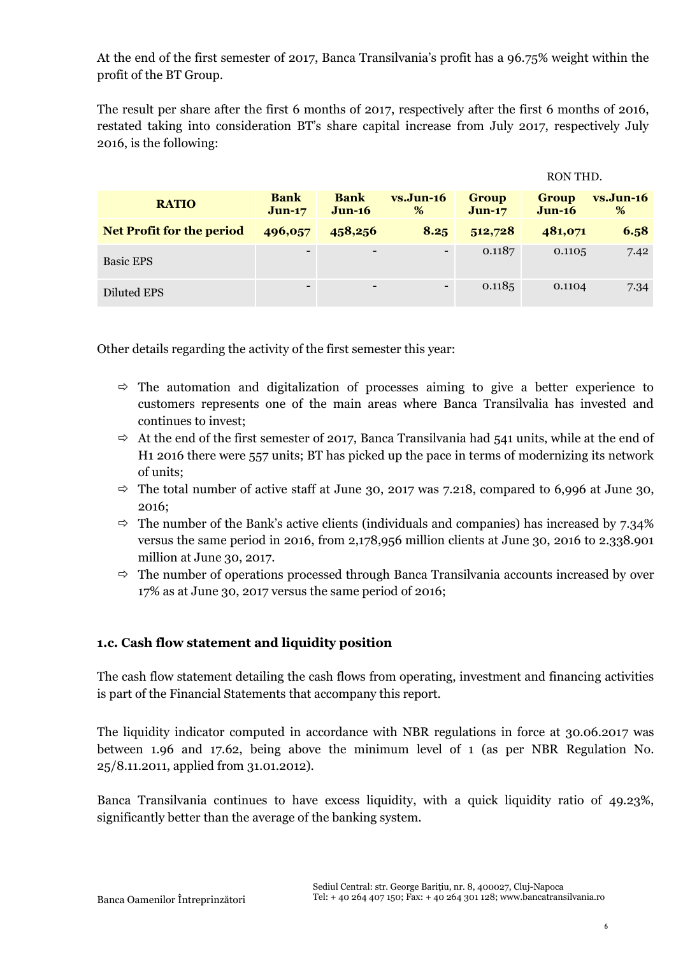At the end of the first semester of 2017, Banca Transilvania's profit has a 96.75% weight within the profit of the BT Group.

The result per share after the first 6 months of 2017, respectively after the first 6 months of 2016, restated taking into consideration BT's share capital increase from July 2017, respectively July 2016, is the following:

|                                  |                          |                          |                  |                          | RON THD.                 |                  |
|----------------------------------|--------------------------|--------------------------|------------------|--------------------------|--------------------------|------------------|
| <b>RATIO</b>                     | <b>Bank</b><br>$J$ un-17 | <b>Bank</b><br>$Jun-16$  | $vs.Jun-16$<br>% | <b>Group</b><br>$Jun-17$ | <b>Group</b><br>$Jun-16$ | $vs.Jun-16$<br>% |
| <b>Net Profit for the period</b> | 496,057                  | 458,256                  | 8.25             | 512,728                  | 481,071                  | 6.58             |
| <b>Basic EPS</b>                 | $\overline{\phantom{a}}$ | $\overline{\phantom{a}}$ |                  | 0.1187                   | 0.1105                   | 7.42             |
| Diluted EPS                      | $\overline{\phantom{a}}$ | $\overline{\phantom{a}}$ |                  | 0.1185                   | 0.1104                   | 7.34             |

Other details regarding the activity of the first semester this year:

- $\Rightarrow$  The automation and digitalization of processes aiming to give a better experience to customers represents one of the main areas where Banca Transilvalia has invested and continues to invest;
- $\Rightarrow$  At the end of the first semester of 2017, Banca Transilvania had 541 units, while at the end of H1 2016 there were 557 units; BT has picked up the pace in terms of modernizing its network of units;
- $\Rightarrow$  The total number of active staff at June 30, 2017 was 7.218, compared to 6,996 at June 30, 2016;
- $\Rightarrow$  The number of the Bank's active clients (individuals and companies) has increased by 7.34% versus the same period in 2016, from 2,178,956 million clients at June 30, 2016 to 2.338.901 million at June 30, 2017.
- $\Rightarrow$  The number of operations processed through Banca Transilvania accounts increased by over 17% as at June 30, 2017 versus the same period of 2016;

### **1.c. Cash flow statement and liquidity position**

The cash flow statement detailing the cash flows from operating, investment and financing activities is part of the Financial Statements that accompany this report.

The liquidity indicator computed in accordance with NBR regulations in force at 30.06.2017 was between 1.96 and 17.62, being above the minimum level of 1 (as per NBR Regulation No. 25/8.11.2011, applied from 31.01.2012).

Banca Transilvania continues to have excess liquidity, with a quick liquidity ratio of 49.23%, significantly better than the average of the banking system.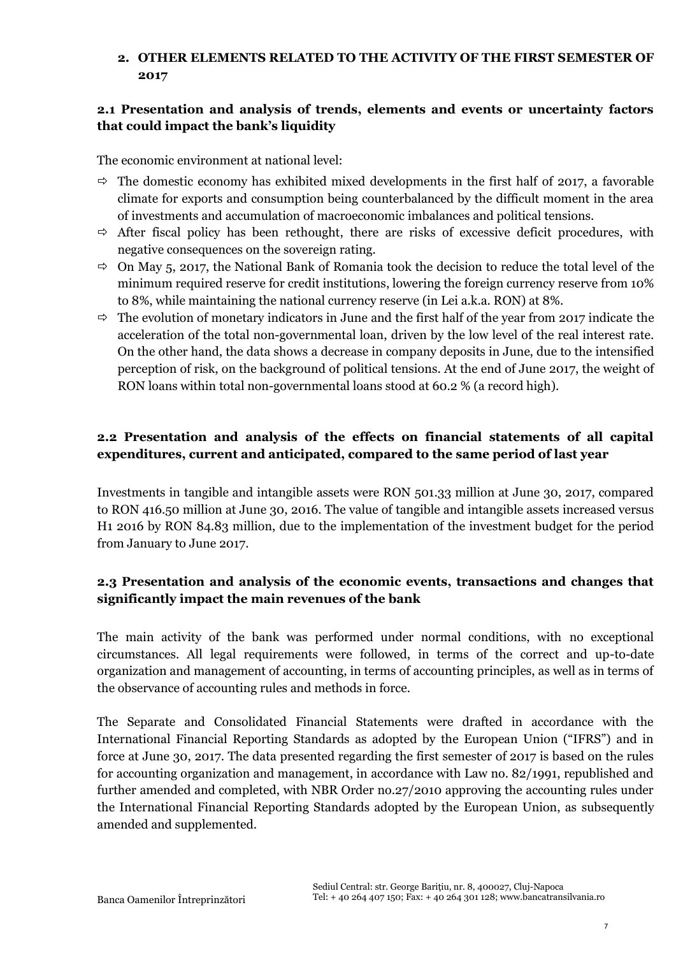# **2. OTHER ELEMENTS RELATED TO THE ACTIVITY OF THE FIRST SEMESTER OF 2017**

## **2.1 Presentation and analysis of trends, elements and events or uncertainty factors that could impact the bank's liquidity**

The economic environment at national level:

- $\Rightarrow$  The domestic economy has exhibited mixed developments in the first half of 2017, a favorable climate for exports and consumption being counterbalanced by the difficult moment in the area of investments and accumulation of macroeconomic imbalances and political tensions.
- $\Rightarrow$  After fiscal policy has been rethought, there are risks of excessive deficit procedures, with negative consequences on the sovereign rating.
- $\Rightarrow$  On May 5, 2017, the National Bank of Romania took the decision to reduce the total level of the minimum required reserve for credit institutions, lowering the foreign currency reserve from 10% to 8%, while maintaining the national currency reserve (in Lei a.k.a. RON) at 8%.
- $\Rightarrow$  The evolution of monetary indicators in June and the first half of the year from 2017 indicate the acceleration of the total non-governmental loan, driven by the low level of the real interest rate. On the other hand, the data shows a decrease in company deposits in June, due to the intensified perception of risk, on the background of political tensions. At the end of June 2017, the weight of RON loans within total non-governmental loans stood at 60.2 % (a record high).

### **2.2 Presentation and analysis of the effects on financial statements of all capital expenditures, current and anticipated, compared to the same period of last year**

Investments in tangible and intangible assets were RON 501.33 million at June 30, 2017, compared to RON 416.50 million at June 30, 2016. The value of tangible and intangible assets increased versus H1 2016 by RON 84.83 million, due to the implementation of the investment budget for the period from January to June 2017.

### **2.3 Presentation and analysis of the economic events, transactions and changes that significantly impact the main revenues of the bank**

The main activity of the bank was performed under normal conditions, with no exceptional circumstances. All legal requirements were followed, in terms of the correct and up-to-date organization and management of accounting, in terms of accounting principles, as well as in terms of the observance of accounting rules and methods in force.

The Separate and Consolidated Financial Statements were drafted in accordance with the International Financial Reporting Standards as adopted by the European Union ("IFRS") and in force at June 30, 2017. The data presented regarding the first semester of 2017 is based on the rules for accounting organization and management, in accordance with Law no. 82/1991, republished and further amended and completed, with NBR Order no.27/2010 approving the accounting rules under the International Financial Reporting Standards adopted by the European Union, as subsequently amended and supplemented.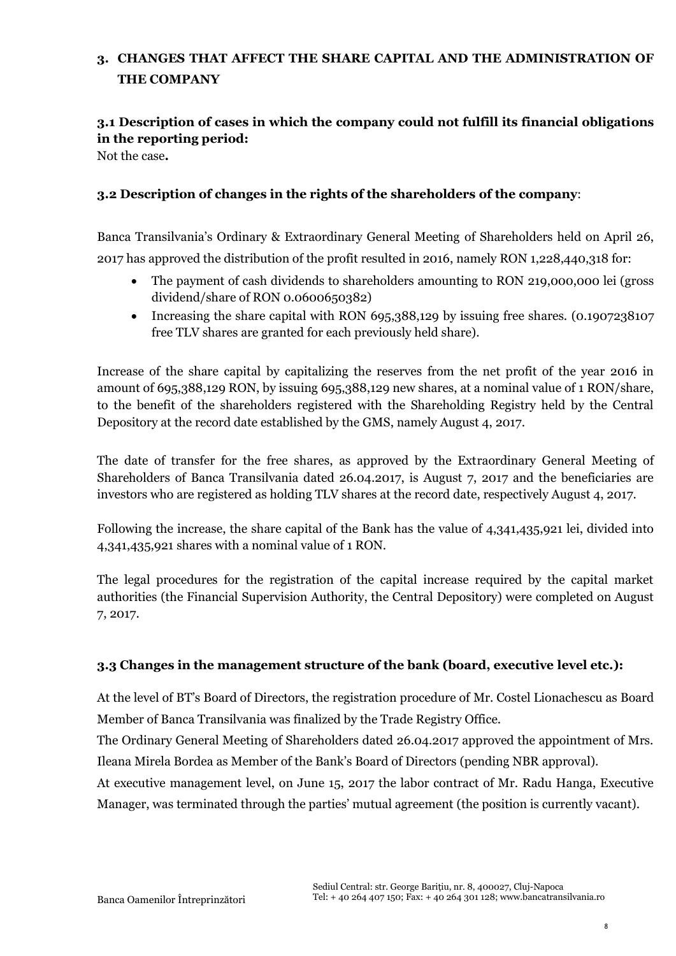# **3. CHANGES THAT AFFECT THE SHARE CAPITAL AND THE ADMINISTRATION OF THE COMPANY**

# **3.1 Description of cases in which the company could not fulfill its financial obligations in the reporting period:**

Not the case**.**

### **3.2 Description of changes in the rights of the shareholders of the company**:

Banca Transilvania's Ordinary & Extraordinary General Meeting of Shareholders held on April 26, 2017 has approved the distribution of the profit resulted in 2016, namely RON 1,228,440,318 for:

- The payment of cash dividends to shareholders amounting to RON 219,000,000 lei (gross dividend/share of RON 0.0600650382)
- Increasing the share capital with RON 695,388,129 by issuing free shares. (0.1907238107 free TLV shares are granted for each previously held share).

Increase of the share capital by capitalizing the reserves from the net profit of the year 2016 in amount of 695,388,129 RON, by issuing 695,388,129 new shares, at a nominal value of 1 RON/share, to the benefit of the shareholders registered with the Shareholding Registry held by the Central Depository at the record date established by the GMS, namely August 4, 2017.

The date of transfer for the free shares, as approved by the Extraordinary General Meeting of Shareholders of Banca Transilvania dated 26.04.2017, is August 7, 2017 and the beneficiaries are investors who are registered as holding TLV shares at the record date, respectively August 4, 2017.

Following the increase, the share capital of the Bank has the value of 4,341,435,921 lei, divided into 4,341,435,921 shares with a nominal value of 1 RON.

The legal procedures for the registration of the capital increase required by the capital market authorities (the Financial Supervision Authority, the Central Depository) were completed on August 7, 2017.

### **3.3 Changes in the management structure of the bank (board, executive level etc.):**

At the level of BT's Board of Directors, the registration procedure of Mr. Costel Lionachescu as Board Member of Banca Transilvania was finalized by the Trade Registry Office.

The Ordinary General Meeting of Shareholders dated 26.04.2017 approved the appointment of Mrs. Ileana Mirela Bordea as Member of the Bank's Board of Directors (pending NBR approval).

At executive management level, on June 15, 2017 the labor contract of Mr. Radu Hanga, Executive Manager, was terminated through the parties' mutual agreement (the position is currently vacant).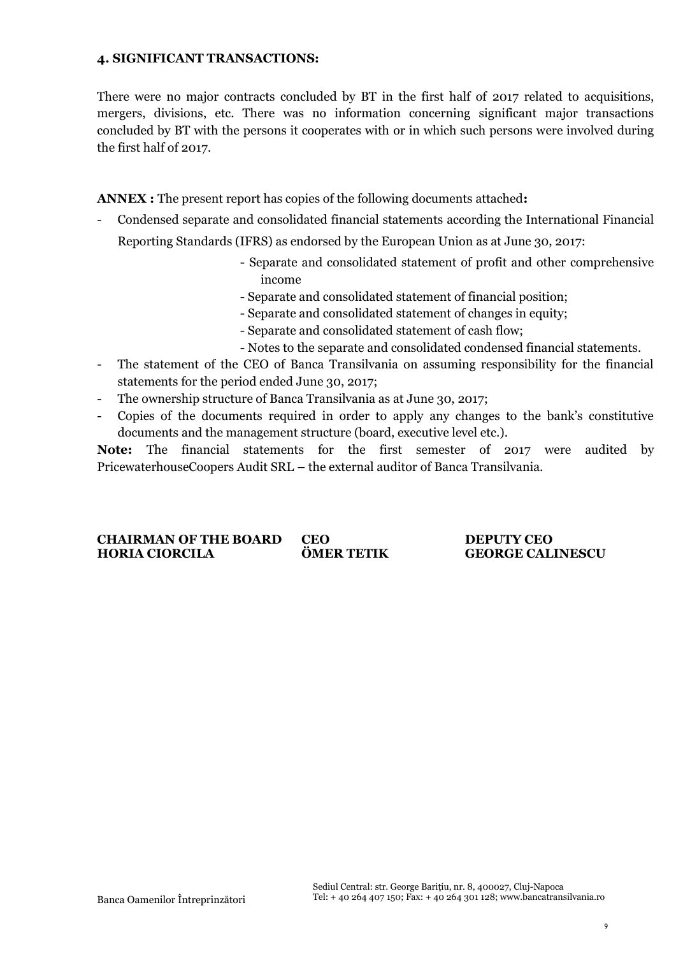#### **4. SIGNIFICANT TRANSACTIONS:**

There were no major contracts concluded by BT in the first half of 2017 related to acquisitions, mergers, divisions, etc. There was no information concerning significant major transactions concluded by BT with the persons it cooperates with or in which such persons were involved during the first half of 2017.

**ANNEX :** The present report has copies of the following documents attached**:**

- Condensed separate and consolidated financial statements according the International Financial Reporting Standards (IFRS) as endorsed by the European Union as at June 30, 2017:
	- Separate and consolidated statement of profit and other comprehensive income
	- Separate and consolidated statement of financial position;
	- Separate and consolidated statement of changes in equity;
	- Separate and consolidated statement of cash flow;
	- Notes to the separate and consolidated condensed financial statements.
- The statement of the CEO of Banca Transilvania on assuming responsibility for the financial statements for the period ended June 30, 2017;
- The ownership structure of Banca Transilvania as at June 30, 2017;
- Copies of the documents required in order to apply any changes to the bank's constitutive documents and the management structure (board, executive level etc.).

**Note:** The financial statements for the first semester of 2017 were audited by PricewaterhouseCoopers Audit SRL – the external auditor of Banca Transilvania.

**CHAIRMAN OF THE BOARD CEO DEPUTY CEO HORIA CIORCILA ÖMER TETIK GEORGE CALINESCU**